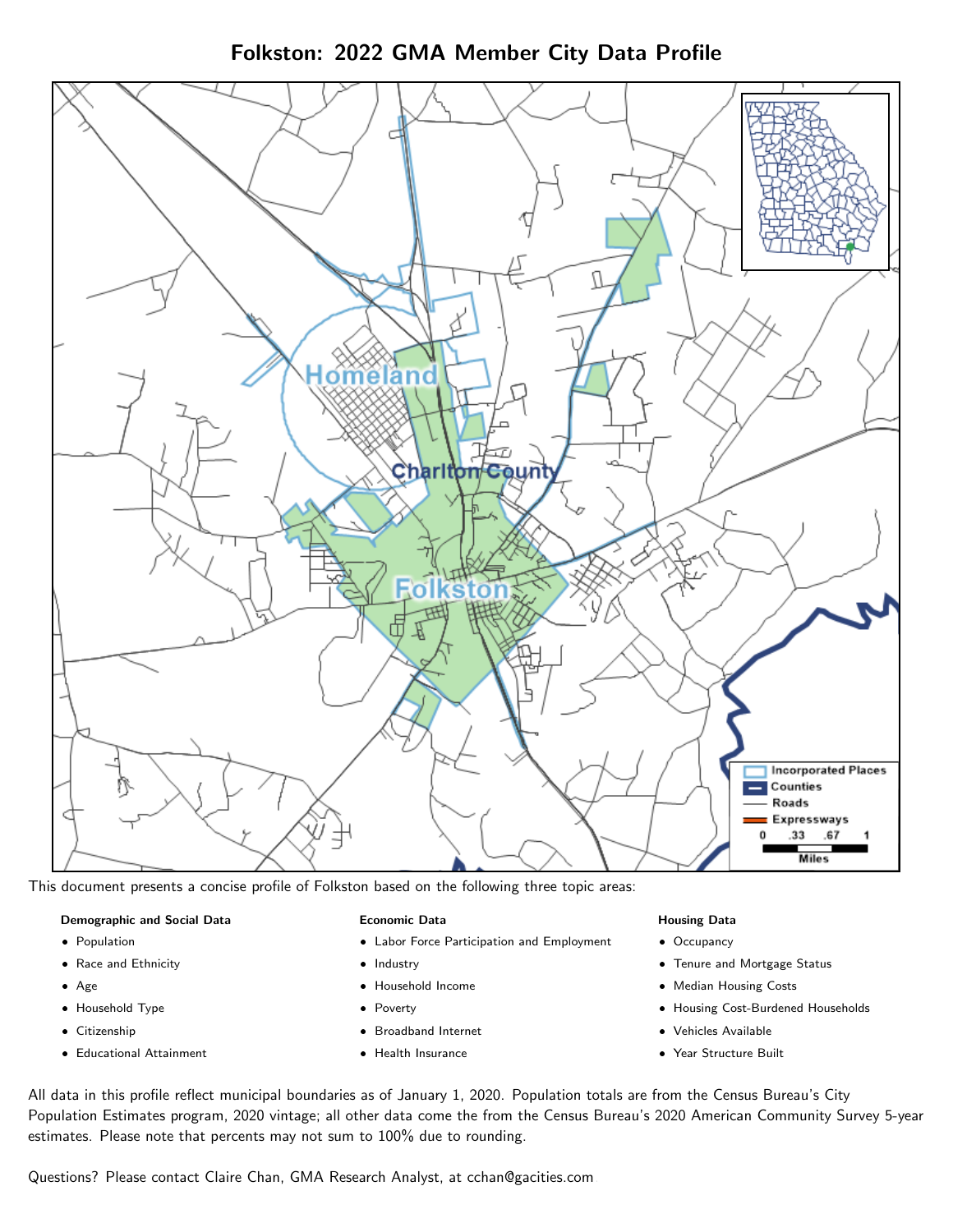Folkston: 2022 GMA Member City Data Profile



This document presents a concise profile of Folkston based on the following three topic areas:

# Demographic and Social Data

- **•** Population
- Race and Ethnicity
- Age
- Household Type
- **Citizenship**
- Educational Attainment

### Economic Data

- Labor Force Participation and Employment
- Industry
- Household Income
- Poverty
- Broadband Internet
- Health Insurance

### Housing Data

- Occupancy
- Tenure and Mortgage Status
- Median Housing Costs
- Housing Cost-Burdened Households
- Vehicles Available
- Year Structure Built

All data in this profile reflect municipal boundaries as of January 1, 2020. Population totals are from the Census Bureau's City Population Estimates program, 2020 vintage; all other data come the from the Census Bureau's 2020 American Community Survey 5-year estimates. Please note that percents may not sum to 100% due to rounding.

Questions? Please contact Claire Chan, GMA Research Analyst, at [cchan@gacities.com.](mailto:cchan@gacities.com)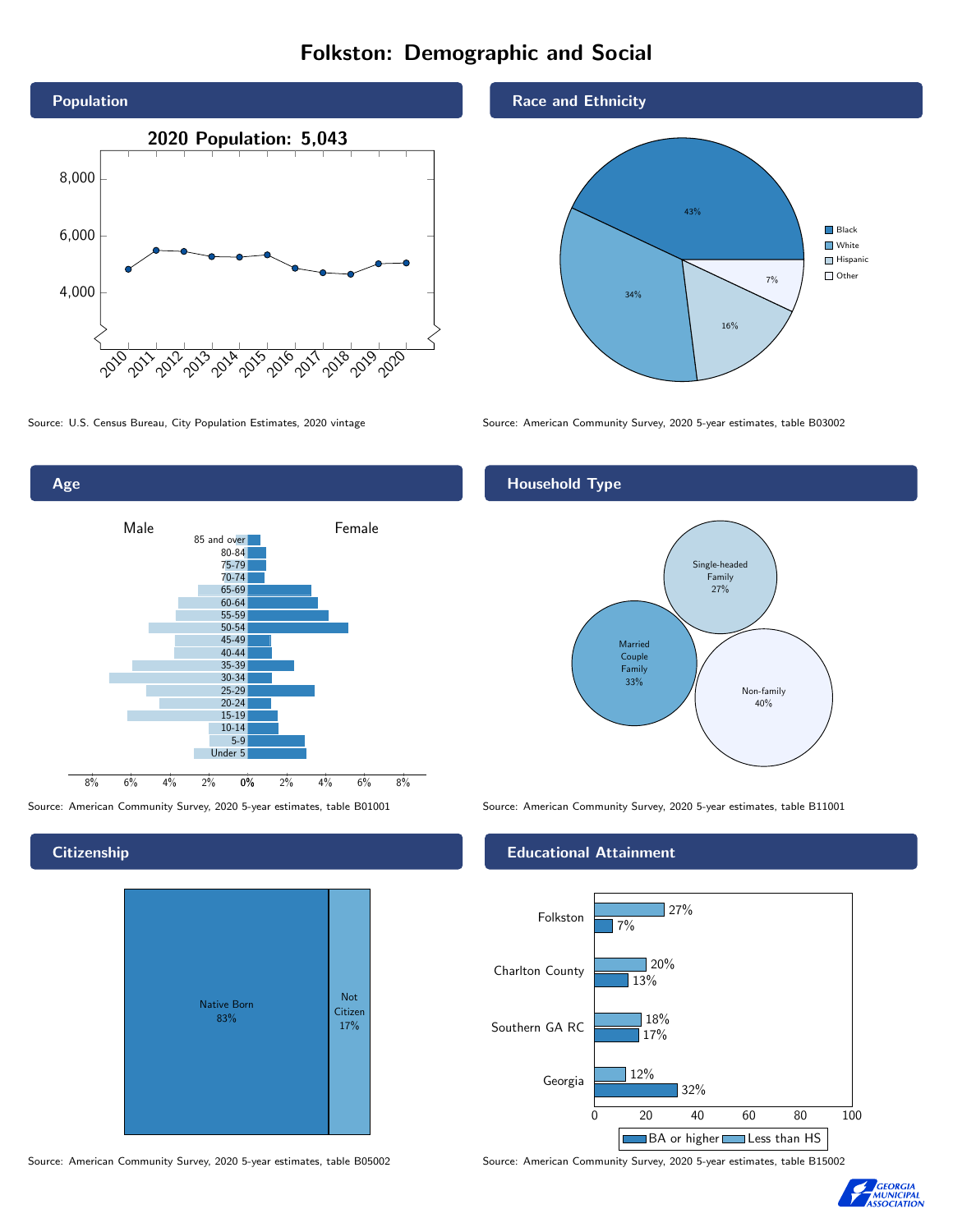# Folkston: Demographic and Social





**Citizenship** 



Source: American Community Survey, 2020 5-year estimates, table B05002 Source: American Community Survey, 2020 5-year estimates, table B15002

### Race and Ethnicity



Source: U.S. Census Bureau, City Population Estimates, 2020 vintage Source: American Community Survey, 2020 5-year estimates, table B03002

## Household Type



Source: American Community Survey, 2020 5-year estimates, table B01001 Source: American Community Survey, 2020 5-year estimates, table B11001

## Educational Attainment



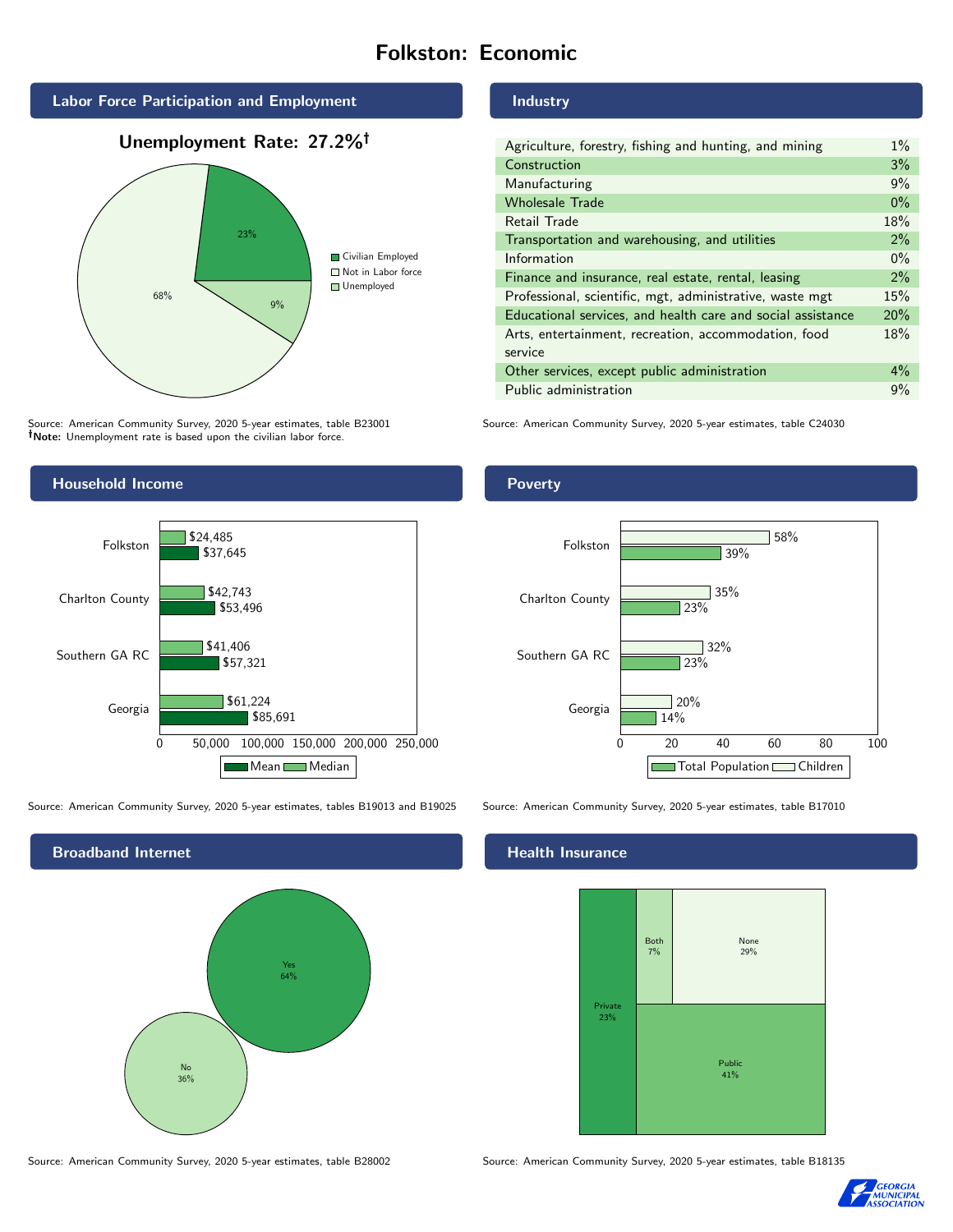# Folkston: Economic



Unemployment Rate: 27.2%



Source: American Community Survey, 2020 5-year estimates, table B23001 Note: Unemployment rate is based upon the civilian labor force.



| Agriculture, forestry, fishing and hunting, and mining      | $1\%$ |
|-------------------------------------------------------------|-------|
| Construction                                                | 3%    |
| Manufacturing                                               | 9%    |
| <b>Wholesale Trade</b>                                      | $0\%$ |
| Retail Trade                                                | 18%   |
| Transportation and warehousing, and utilities               | 2%    |
| Information                                                 | $0\%$ |
| Finance and insurance, real estate, rental, leasing         | 2%    |
| Professional, scientific, mgt, administrative, waste mgt    | 15%   |
| Educational services, and health care and social assistance | 20%   |
| Arts, entertainment, recreation, accommodation, food        | 18%   |
| service                                                     |       |
| Other services, except public administration                | $4\%$ |
| Public administration                                       | 9%    |

Source: American Community Survey, 2020 5-year estimates, table C24030



Source: American Community Survey, 2020 5-year estimates, tables B19013 and B19025 Source: American Community Survey, 2020 5-year estimates, table B17010



Poverty



# **Health Insurance**



Source: American Community Survey, 2020 5-year estimates, table B28002 Source: American Community Survey, 2020 5-year estimates, table B18135